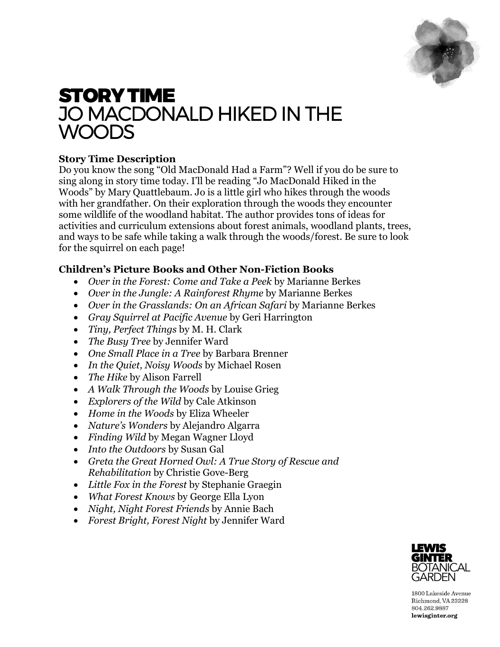

# STORY TIME JO MACDONALD HIKED IN THE WOODS

## **Story Time Description**

Do you know the song "Old MacDonald Had a Farm"? Well if you do be sure to sing along in story time today. I'll be reading "Jo MacDonald Hiked in the Woods" by Mary Quattlebaum. Jo is a little girl who hikes through the woods with her grandfather. On their exploration through the woods they encounter some wildlife of the woodland habitat. The author provides tons of ideas for activities and curriculum extensions about forest animals, woodland plants, trees, and ways to be safe while taking a walk through the woods/forest. Be sure to look for the squirrel on each page!

## **Children's Picture Books and Other Non-Fiction Books**

- *Over in the Forest: Come and Take a Peek* by Marianne Berkes
- *Over in the Jungle: A Rainforest Rhyme* by Marianne Berkes
- *Over in the Grasslands: On an African Safari* by Marianne Berkes
- *Gray Squirrel at Pacific Avenue* by Geri Harrington
- *Tiny, Perfect Things* by M. H. Clark
- *The Busy Tree* by Jennifer Ward
- *One Small Place in a Tree* by Barbara Brenner
- *In the Quiet, Noisy Woods* by Michael Rosen
- *The Hike* by Alison Farrell
- *A Walk Through the Woods* by Louise Grieg
- *Explorers of the Wild* by Cale Atkinson
- *Home in the Woods* by Eliza Wheeler
- *Nature's Wonders* by Alejandro Algarra
- *Finding Wild* by Megan Wagner Lloyd
- *Into the Outdoors* by Susan Gal
- *Greta the Great Horned Owl: A True Story of Rescue and Rehabilitation* by Christie Gove-Berg
- *Little Fox in the Forest* by Stephanie Graegin
- *What Forest Knows* by George Ella Lyon
- *Night, Night Forest Friends* by Annie Bach
- *Forest Bright, Forest Night* by Jennifer Ward



1800 Lakeside Avenue Richmond, VA 23228 804.262.9887 lewisginter.org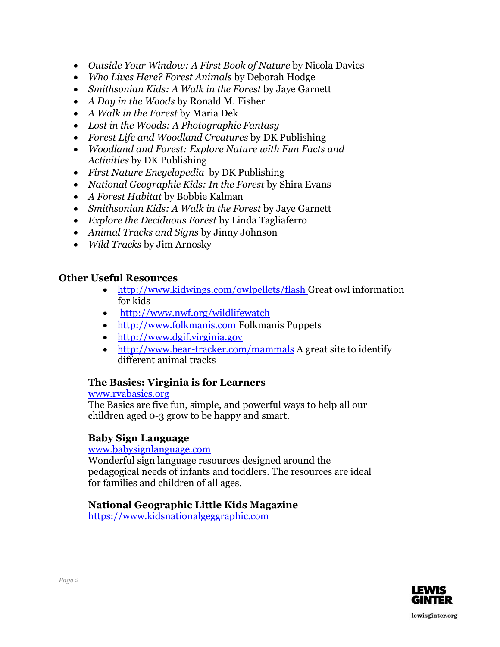- *Outside Your Window: A First Book of Nature* by Nicola Davies
- *Who Lives Here? Forest Animals* by Deborah Hodge
- *Smithsonian Kids: A Walk in the Forest* by Jaye Garnett
- *A Day in the Woods* by Ronald M. Fisher
- *A Walk in the Forest* by Maria Dek
- *Lost in the Woods: A Photographic Fantasy*
- *Forest Life and Woodland Creatures* by DK Publishing
- *Woodland and Forest: Explore Nature with Fun Facts and Activities* by DK Publishing
- *First Nature Encyclopedia* by DK Publishing
- *National Geographic Kids: In the Forest* by Shira Evans
- *A Forest Habitat* by Bobbie Kalman
- *Smithsonian Kids: A Walk in the Forest* by Jaye Garnett
- *Explore the Deciduous Forest* by Linda Tagliaferro
- *Animal Tracks and Signs* by Jinny Johnson
- *Wild Tracks* by Jim Arnosky

#### **Other Useful Resources**

- <http://www.kidwings.com/owlpellets/flash> Great owl information for kids
- http://www.nwf.org/wildlifewatch
- http:/[/www.folkmanis.com](http://www.folkmanis.com/) Folkmanis Puppets
- [http://www.dgif.virginia.gov](http://www.dgif.virginia.gov/)
- <http://www.bear-tracker.com/mammals> A great site to identify different animal tracks

#### **The Basics: Virginia is for Learners**

#### [www.rvabasics.org](http://www.rvabasics.org/)

The Basics are five fun, simple, and powerful ways to help all our children aged 0-3 grow to be happy and smart.

#### **Baby Sign Language**

#### [www.babysignlanguage.com](http://www.babysignlanguage.com/)

Wonderful sign language resources designed around the pedagogical needs of infants and toddlers. The resources are ideal for families and children of all ages.

### **National Geographic Little Kids Magazine**

[https://www.kidsnationalgeggraphic.com](https://www.kidsnationalgeggraphic.com/)

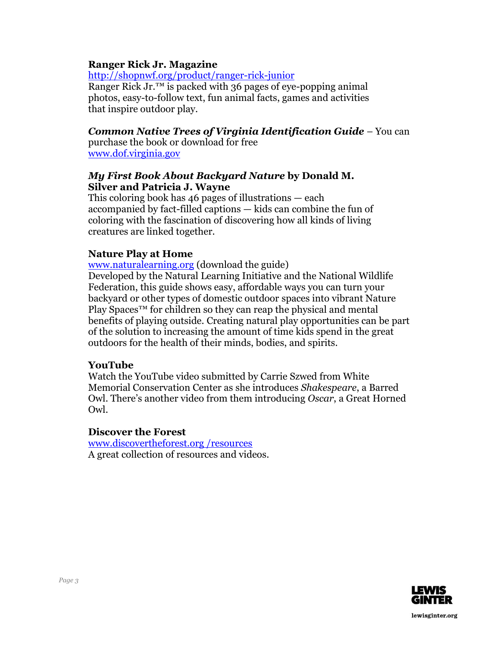#### **Ranger Rick Jr. Magazine**

<http://shopnwf.org/product/ranger-rick-junior>

Ranger Rick Jr. $^{TM}$  is packed with 36 pages of eye-popping animal photos, easy-to-follow text, fun animal facts, games and activities that inspire outdoor play.

#### *Common Native Trees of Virginia Identification Guide* – You can

purchase the book or download for free [www.dof.virginia.gov](http://www.dof.virginia.gov/)

#### *My First Book About Backyard Nature* **by Donald M. Silver and Patricia J. Wayne**

This coloring book has  $46$  pages of illustrations  $-$  each accompanied by fact-filled captions — kids can combine the fun of coloring with the fascination of discovering how all kinds of living creatures are linked together.

#### **Nature Play at Home**

[www.naturalearning.org](http://www.naturalearning.org/) (download the guide)

Developed by the Natural Learning Initiative and the [National](https://www.nwf.org/Home/Kids-and-Family/Connecting-Kids-and-Nature) Wildlife [Federation,](https://www.nwf.org/Home/Kids-and-Family/Connecting-Kids-and-Nature) this guide shows easy, affordable ways you can turn your backyard or other types of domestic outdoor spaces into vibrant Nature Play Spaces™ for children so they can reap the physical and mental benefits of playing outside. Creating natural play opportunities can be part of the solution to increasing the amount of time kids spend in the great outdoors for the health of their minds, bodies, and spirits.

### **YouTube**

Watch the YouTube video submitted by Carrie Szwed from White Memorial Conservation Center as she introduces *Shakespeare*, a Barred Owl. There's another video from them introducing *Oscar*, a Great Horned Owl.

#### **Discover the Forest**

www.discovertheforest.org /resources A great collection of resources and videos.



lewisginter.org